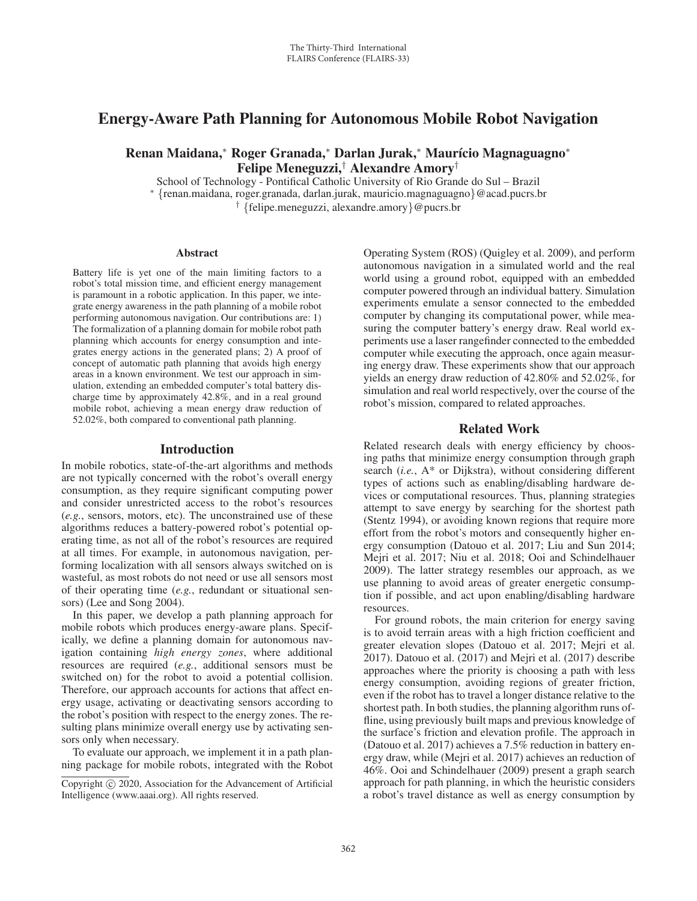# Energy-Aware Path Planning for Autonomous Mobile Robot Navigation

Renan Maidana,\* Roger Granada,\* Darlan Jurak,\* Maurício Magnaguagno\* Felipe Meneguzzi,† Alexandre Amory†

School of Technology - Pontifical Catholic University of Rio Grande do Sul – Brazil <sup>∗</sup> {renan.maidana, roger.granada, darlan.jurak, mauricio.magnaguagno}@acad.pucrs.br † {felipe.meneguzzi, alexandre.amory}@pucrs.br

#### Abstract

Battery life is yet one of the main limiting factors to a robot's total mission time, and efficient energy management is paramount in a robotic application. In this paper, we integrate energy awareness in the path planning of a mobile robot performing autonomous navigation. Our contributions are: 1) The formalization of a planning domain for mobile robot path planning which accounts for energy consumption and integrates energy actions in the generated plans; 2) A proof of concept of automatic path planning that avoids high energy areas in a known environment. We test our approach in simulation, extending an embedded computer's total battery discharge time by approximately 42.8%, and in a real ground mobile robot, achieving a mean energy draw reduction of 52.02%, both compared to conventional path planning.

#### Introduction

In mobile robotics, state-of-the-art algorithms and methods are not typically concerned with the robot's overall energy consumption, as they require significant computing power and consider unrestricted access to the robot's resources (*e.g.*, sensors, motors, etc). The unconstrained use of these algorithms reduces a battery-powered robot's potential operating time, as not all of the robot's resources are required at all times. For example, in autonomous navigation, performing localization with all sensors always switched on is wasteful, as most robots do not need or use all sensors most of their operating time (*e.g.*, redundant or situational sensors) (Lee and Song 2004).

In this paper, we develop a path planning approach for mobile robots which produces energy-aware plans. Specifically, we define a planning domain for autonomous navigation containing *high energy zones*, where additional resources are required (*e.g.*, additional sensors must be switched on) for the robot to avoid a potential collision. Therefore, our approach accounts for actions that affect energy usage, activating or deactivating sensors according to the robot's position with respect to the energy zones. The resulting plans minimize overall energy use by activating sensors only when necessary.

To evaluate our approach, we implement it in a path planning package for mobile robots, integrated with the Robot

Operating System (ROS) (Quigley et al. 2009), and perform autonomous navigation in a simulated world and the real world using a ground robot, equipped with an embedded computer powered through an individual battery. Simulation experiments emulate a sensor connected to the embedded computer by changing its computational power, while measuring the computer battery's energy draw. Real world experiments use a laser rangefinder connected to the embedded computer while executing the approach, once again measuring energy draw. These experiments show that our approach yields an energy draw reduction of 42.80% and 52.02%, for simulation and real world respectively, over the course of the robot's mission, compared to related approaches.

## Related Work

Related research deals with energy efficiency by choosing paths that minimize energy consumption through graph search (*i.e.*, A\* or Dijkstra), without considering different types of actions such as enabling/disabling hardware devices or computational resources. Thus, planning strategies attempt to save energy by searching for the shortest path (Stentz 1994), or avoiding known regions that require more effort from the robot's motors and consequently higher energy consumption (Datouo et al. 2017; Liu and Sun 2014; Mejri et al. 2017; Niu et al. 2018; Ooi and Schindelhauer 2009). The latter strategy resembles our approach, as we use planning to avoid areas of greater energetic consumption if possible, and act upon enabling/disabling hardware resources.

For ground robots, the main criterion for energy saving is to avoid terrain areas with a high friction coefficient and greater elevation slopes (Datouo et al. 2017; Mejri et al. 2017). Datouo et al. (2017) and Mejri et al. (2017) describe approaches where the priority is choosing a path with less energy consumption, avoiding regions of greater friction, even if the robot has to travel a longer distance relative to the shortest path. In both studies, the planning algorithm runs offline, using previously built maps and previous knowledge of the surface's friction and elevation profile. The approach in (Datouo et al. 2017) achieves a 7.5% reduction in battery energy draw, while (Mejri et al. 2017) achieves an reduction of 46%. Ooi and Schindelhauer (2009) present a graph search approach for path planning, in which the heuristic considers a robot's travel distance as well as energy consumption by

Copyright  $\odot$  2020, Association for the Advancement of Artificial Intelligence (www.aaai.org). All rights reserved.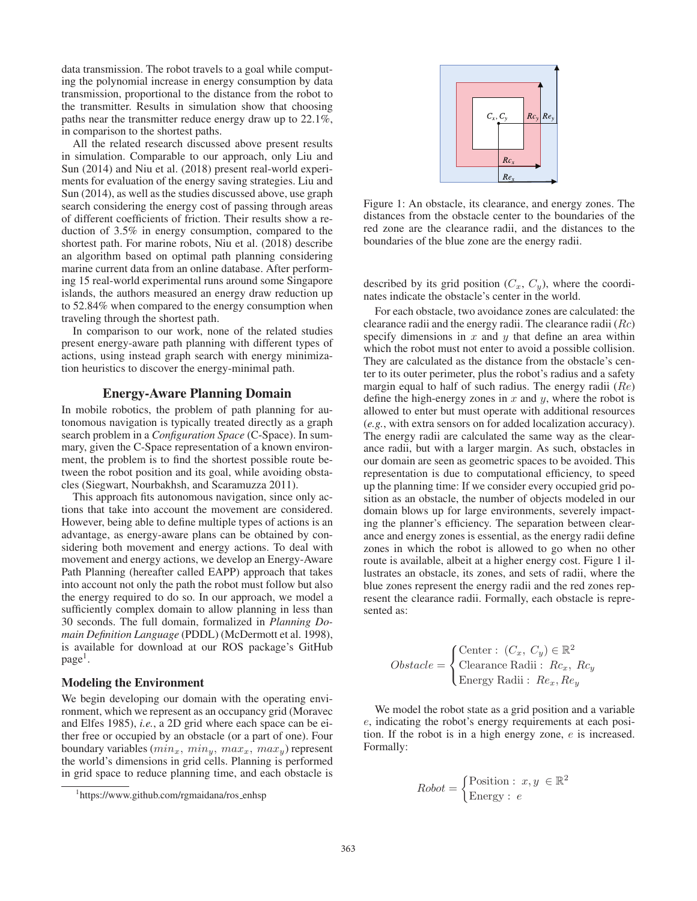data transmission. The robot travels to a goal while computing the polynomial increase in energy consumption by data transmission, proportional to the distance from the robot to the transmitter. Results in simulation show that choosing paths near the transmitter reduce energy draw up to 22.1%, in comparison to the shortest paths.

All the related research discussed above present results in simulation. Comparable to our approach, only Liu and Sun (2014) and Niu et al. (2018) present real-world experiments for evaluation of the energy saving strategies. Liu and Sun (2014), as well as the studies discussed above, use graph search considering the energy cost of passing through areas of different coefficients of friction. Their results show a reduction of 3.5% in energy consumption, compared to the shortest path. For marine robots, Niu et al. (2018) describe an algorithm based on optimal path planning considering marine current data from an online database. After performing 15 real-world experimental runs around some Singapore islands, the authors measured an energy draw reduction up to 52.84% when compared to the energy consumption when traveling through the shortest path.

In comparison to our work, none of the related studies present energy-aware path planning with different types of actions, using instead graph search with energy minimization heuristics to discover the energy-minimal path.

# Energy-Aware Planning Domain

In mobile robotics, the problem of path planning for autonomous navigation is typically treated directly as a graph search problem in a *Configuration Space* (C-Space). In summary, given the C-Space representation of a known environment, the problem is to find the shortest possible route between the robot position and its goal, while avoiding obstacles (Siegwart, Nourbakhsh, and Scaramuzza 2011).

This approach fits autonomous navigation, since only actions that take into account the movement are considered. However, being able to define multiple types of actions is an advantage, as energy-aware plans can be obtained by considering both movement and energy actions. To deal with movement and energy actions, we develop an Energy-Aware Path Planning (hereafter called EAPP) approach that takes into account not only the path the robot must follow but also the energy required to do so. In our approach, we model a sufficiently complex domain to allow planning in less than 30 seconds. The full domain, formalized in *Planning Domain Definition Language* (PDDL) (McDermott et al. 1998), is available for download at our ROS package's GitHub  $page<sup>1</sup>$ .

# Modeling the Environment

We begin developing our domain with the operating environment, which we represent as an occupancy grid (Moravec and Elfes 1985), *i.e.*, a 2D grid where each space can be either free or occupied by an obstacle (or a part of one). Four boundary variables  $(min_x, min_y, max_x, max_y)$  represent the world's dimensions in grid cells. Planning is performed in grid space to reduce planning time, and each obstacle is



Figure 1: An obstacle, its clearance, and energy zones. The distances from the obstacle center to the boundaries of the red zone are the clearance radii, and the distances to the boundaries of the blue zone are the energy radii.

described by its grid position  $(C_x, C_y)$ , where the coordinates indicate the obstacle's center in the world.

For each obstacle, two avoidance zones are calculated: the clearance radii and the energy radii. The clearance radii  $(Rc)$ specify dimensions in  $x$  and  $y$  that define an area within which the robot must not enter to avoid a possible collision. They are calculated as the distance from the obstacle's center to its outer perimeter, plus the robot's radius and a safety margin equal to half of such radius. The energy radii  $(Re)$ define the high-energy zones in  $x$  and  $y$ , where the robot is allowed to enter but must operate with additional resources (*e.g.*, with extra sensors on for added localization accuracy). The energy radii are calculated the same way as the clearance radii, but with a larger margin. As such, obstacles in our domain are seen as geometric spaces to be avoided. This representation is due to computational efficiency, to speed up the planning time: If we consider every occupied grid position as an obstacle, the number of objects modeled in our domain blows up for large environments, severely impacting the planner's efficiency. The separation between clearance and energy zones is essential, as the energy radii define zones in which the robot is allowed to go when no other route is available, albeit at a higher energy cost. Figure 1 illustrates an obstacle, its zones, and sets of radii, where the blue zones represent the energy radii and the red zones represent the clearance radii. Formally, each obstacle is represented as:

$$
Obstack = \begin{cases} \text{Center} : (C_x, C_y) \in \mathbb{R}^2 \\ \text{Clearance Radii} : Rc_x, Rc_y \\ \text{Energy Radii} : Re_x, Re_y \end{cases}
$$

We model the robot state as a grid position and a variable e, indicating the robot's energy requirements at each position. If the robot is in a high energy zone, e is increased. Formally:

$$
Robot = \begin{cases} \text{Position} : x, y \in \mathbb{R}^2\\ \text{Energy} : e \end{cases}
$$

<sup>1</sup> https://www.github.com/rgmaidana/ros enhsp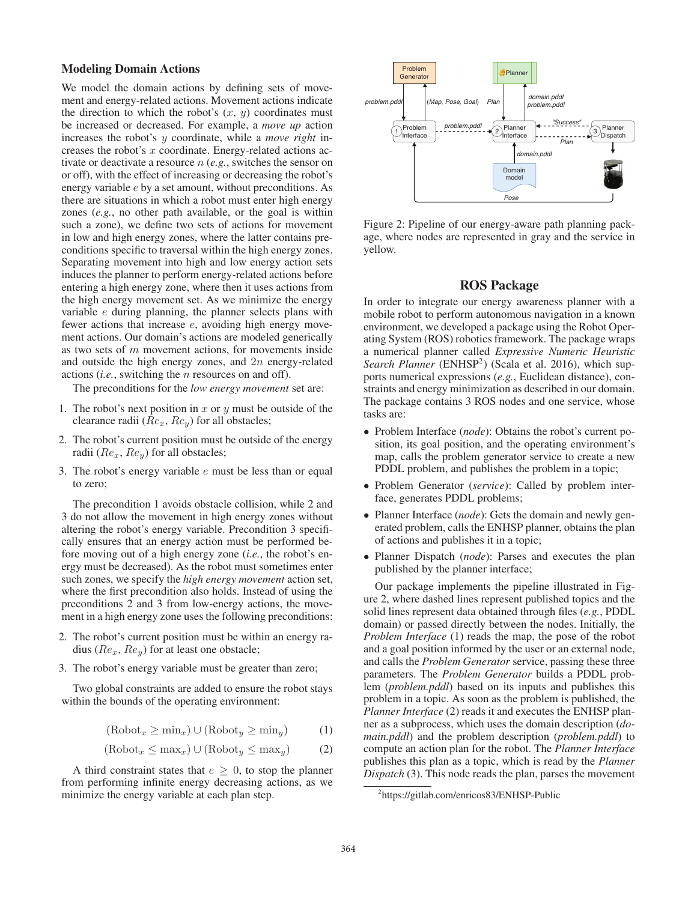## Modeling Domain Actions

We model the domain actions by defining sets of movement and energy-related actions. Movement actions indicate the direction to which the robot's  $(x, y)$  coordinates must be increased or decreased. For example, a *move up* action increases the robot's y coordinate, while a *move right* increases the robot's x coordinate. Energy-related actions activate or deactivate a resource n (*e.g.*, switches the sensor on or off), with the effect of increasing or decreasing the robot's energy variable e by a set amount, without preconditions. As there are situations in which a robot must enter high energy zones (*e.g.*, no other path available, or the goal is within such a zone), we define two sets of actions for movement in low and high energy zones, where the latter contains preconditions specific to traversal within the high energy zones. Separating movement into high and low energy action sets induces the planner to perform energy-related actions before entering a high energy zone, where then it uses actions from the high energy movement set. As we minimize the energy variable e during planning, the planner selects plans with fewer actions that increase e, avoiding high energy movement actions. Our domain's actions are modeled generically as two sets of  $m$  movement actions, for movements inside and outside the high energy zones, and  $2n$  energy-related actions (*i.e.*, switching the n resources on and off).

The preconditions for the *low energy movement* set are:

- 1. The robot's next position in x or y must be outside of the clearance radii  $(Rc_x, Rc_y)$  for all obstacles;
- 2. The robot's current position must be outside of the energy radii  $(Re_x, Re_y)$  for all obstacles;
- 3. The robot's energy variable  $e$  must be less than or equal to zero;

The precondition 1 avoids obstacle collision, while 2 and 3 do not allow the movement in high energy zones without altering the robot's energy variable. Precondition 3 specifically ensures that an energy action must be performed before moving out of a high energy zone (*i.e.*, the robot's energy must be decreased). As the robot must sometimes enter such zones, we specify the *high energy movement* action set, where the first precondition also holds. Instead of using the preconditions 2 and 3 from low-energy actions, the movement in a high energy zone uses the following preconditions:

- 2. The robot's current position must be within an energy radius ( $Re_x, Re_y$ ) for at least one obstacle;
- 3. The robot's energy variable must be greater than zero;

Two global constraints are added to ensure the robot stays within the bounds of the operating environment:

$$
(\text{Robot}_x \ge \min_x) \cup (\text{Robot}_y \ge \min_y) \tag{1}
$$

$$
(\text{Robot}_x \le \max_x) \cup (\text{Robot}_y \le \max_y) \tag{2}
$$

A third constraint states that  $e \geq 0$ , to stop the planner from performing infinite energy decreasing actions, as we minimize the energy variable at each plan step.



Figure 2: Pipeline of our energy-aware path planning package, where nodes are represented in gray and the service in yellow.

## ROS Package

In order to integrate our energy awareness planner with a mobile robot to perform autonomous navigation in a known environment, we developed a package using the Robot Operating System (ROS) robotics framework. The package wraps a numerical planner called *Expressive Numeric Heuristic Search Planner* (ENHSP<sup>2</sup>) (Scala et al. 2016), which supports numerical expressions (*e.g.*, Euclidean distance), constraints and energy minimization as described in our domain. The package contains 3 ROS nodes and one service, whose tasks are:

- Problem Interface (*node*): Obtains the robot's current position, its goal position, and the operating environment's map, calls the problem generator service to create a new PDDL problem, and publishes the problem in a topic;
- Problem Generator (*service*): Called by problem interface, generates PDDL problems;
- Planner Interface (*node*): Gets the domain and newly generated problem, calls the ENHSP planner, obtains the plan of actions and publishes it in a topic;
- Planner Dispatch (*node*): Parses and executes the plan published by the planner interface;

Our package implements the pipeline illustrated in Figure 2, where dashed lines represent published topics and the solid lines represent data obtained through files (*e.g.*, PDDL domain) or passed directly between the nodes. Initially, the *Problem Interface* (1) reads the map, the pose of the robot and a goal position informed by the user or an external node, and calls the *Problem Generator* service, passing these three parameters. The *Problem Generator* builds a PDDL problem (*problem.pddl*) based on its inputs and publishes this problem in a topic. As soon as the problem is published, the *Planner Interface* (2) reads it and executes the ENHSP planner as a subprocess, which uses the domain description (*domain.pddl*) and the problem description (*problem.pddl*) to compute an action plan for the robot. The *Planner Interface* publishes this plan as a topic, which is read by the *Planner Dispatch* (3). This node reads the plan, parses the movement

<sup>2</sup> https://gitlab.com/enricos83/ENHSP-Public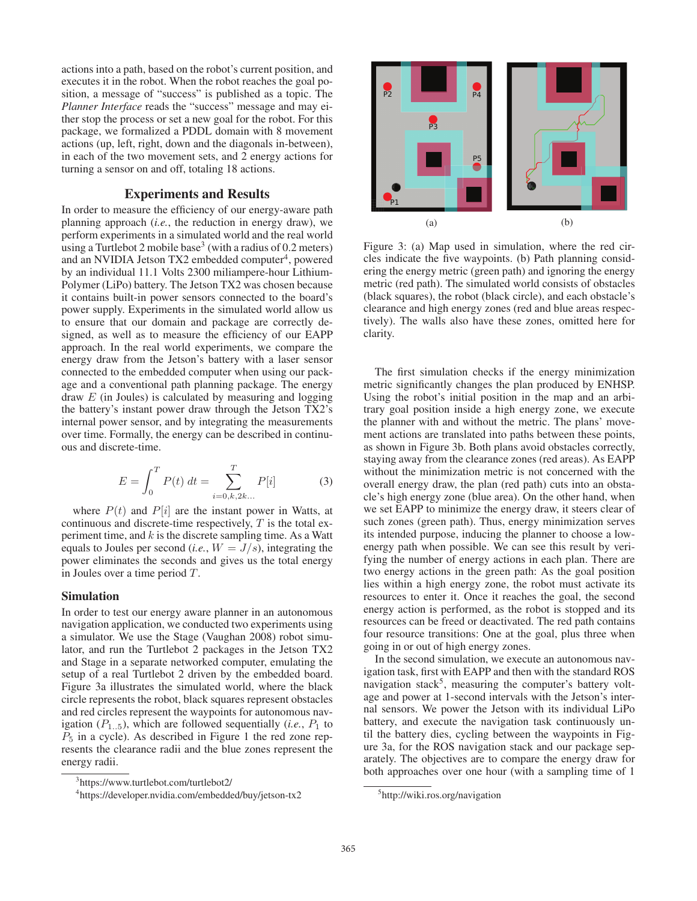actions into a path, based on the robot's current position, and executes it in the robot. When the robot reaches the goal position, a message of "success" is published as a topic. The *Planner Interface* reads the "success" message and may either stop the process or set a new goal for the robot. For this package, we formalized a PDDL domain with 8 movement actions (up, left, right, down and the diagonals in-between), in each of the two movement sets, and 2 energy actions for turning a sensor on and off, totaling 18 actions.

## Experiments and Results

In order to measure the efficiency of our energy-aware path planning approach (*i.e.*, the reduction in energy draw), we perform experiments in a simulated world and the real world using a Turtlebot 2 mobile base<sup>3</sup> (with a radius of  $0.2$  meters) and an NVIDIA Jetson  $TX2$  embedded computer<sup>4</sup>, powered by an individual 11.1 Volts 2300 miliampere-hour Lithium-Polymer (LiPo) battery. The Jetson TX2 was chosen because it contains built-in power sensors connected to the board's power supply. Experiments in the simulated world allow us to ensure that our domain and package are correctly designed, as well as to measure the efficiency of our EAPP approach. In the real world experiments, we compare the energy draw from the Jetson's battery with a laser sensor connected to the embedded computer when using our package and a conventional path planning package. The energy draw  $E$  (in Joules) is calculated by measuring and logging the battery's instant power draw through the Jetson TX2's internal power sensor, and by integrating the measurements over time. Formally, the energy can be described in continuous and discrete-time.

$$
E = \int_0^T P(t) dt = \sum_{i=0,k,2k...}^T P[i]
$$
 (3)

where  $P(t)$  and  $P[i]$  are the instant power in Watts, at continuous and discrete-time respectively,  $T$  is the total experiment time, and  $k$  is the discrete sampling time. As a Watt equals to Joules per second (*i.e.*,  $W = J/s$ ), integrating the power eliminates the seconds and gives us the total energy in Joules over a time period T.

## Simulation

In order to test our energy aware planner in an autonomous navigation application, we conducted two experiments using a simulator. We use the Stage (Vaughan 2008) robot simulator, and run the Turtlebot 2 packages in the Jetson TX2 and Stage in a separate networked computer, emulating the setup of a real Turtlebot 2 driven by the embedded board. Figure 3a illustrates the simulated world, where the black circle represents the robot, black squares represent obstacles and red circles represent the waypoints for autonomous navigation  $(P_{1..5})$ , which are followed sequentially (*i.e.*,  $P_1$  to  $P_5$  in a cycle). As described in Figure 1 the red zone represents the clearance radii and the blue zones represent the energy radii.



<sup>4</sup> https://developer.nvidia.com/embedded/buy/jetson-tx2



Figure 3: (a) Map used in simulation, where the red circles indicate the five waypoints. (b) Path planning considering the energy metric (green path) and ignoring the energy metric (red path). The simulated world consists of obstacles (black squares), the robot (black circle), and each obstacle's clearance and high energy zones (red and blue areas respectively). The walls also have these zones, omitted here for clarity.

The first simulation checks if the energy minimization metric significantly changes the plan produced by ENHSP. Using the robot's initial position in the map and an arbitrary goal position inside a high energy zone, we execute the planner with and without the metric. The plans' movement actions are translated into paths between these points, as shown in Figure 3b. Both plans avoid obstacles correctly, staying away from the clearance zones (red areas). As EAPP without the minimization metric is not concerned with the overall energy draw, the plan (red path) cuts into an obstacle's high energy zone (blue area). On the other hand, when we set EAPP to minimize the energy draw, it steers clear of such zones (green path). Thus, energy minimization serves its intended purpose, inducing the planner to choose a lowenergy path when possible. We can see this result by verifying the number of energy actions in each plan. There are two energy actions in the green path: As the goal position lies within a high energy zone, the robot must activate its resources to enter it. Once it reaches the goal, the second energy action is performed, as the robot is stopped and its resources can be freed or deactivated. The red path contains four resource transitions: One at the goal, plus three when going in or out of high energy zones.

In the second simulation, we execute an autonomous navigation task, first with EAPP and then with the standard ROS navigation stack<sup>5</sup>, measuring the computer's battery voltage and power at 1-second intervals with the Jetson's internal sensors. We power the Jetson with its individual LiPo battery, and execute the navigation task continuously until the battery dies, cycling between the waypoints in Figure 3a, for the ROS navigation stack and our package separately. The objectives are to compare the energy draw for both approaches over one hour (with a sampling time of 1

<sup>5</sup> http://wiki.ros.org/navigation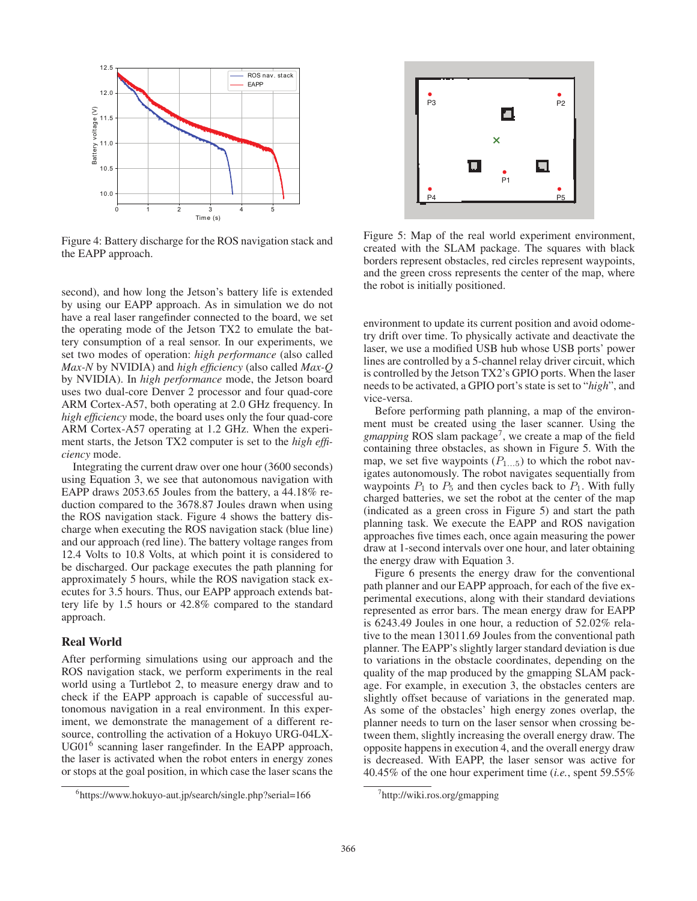

Figure 4: Battery discharge for the ROS navigation stack and the EAPP approach.

second), and how long the Jetson's battery life is extended by using our EAPP approach. As in simulation we do not have a real laser rangefinder connected to the board, we set the operating mode of the Jetson TX2 to emulate the battery consumption of a real sensor. In our experiments, we set two modes of operation: *high performance* (also called *Max-N* by NVIDIA) and *high efficiency* (also called *Max-Q* by NVIDIA). In *high performance* mode, the Jetson board uses two dual-core Denver 2 processor and four quad-core ARM Cortex-A57, both operating at 2.0 GHz frequency. In *high efficiency* mode, the board uses only the four quad-core ARM Cortex-A57 operating at 1.2 GHz. When the experiment starts, the Jetson TX2 computer is set to the *high efficiency* mode.

Integrating the current draw over one hour (3600 seconds) using Equation 3, we see that autonomous navigation with EAPP draws 2053.65 Joules from the battery, a 44.18% reduction compared to the 3678.87 Joules drawn when using the ROS navigation stack. Figure 4 shows the battery discharge when executing the ROS navigation stack (blue line) and our approach (red line). The battery voltage ranges from 12.4 Volts to 10.8 Volts, at which point it is considered to be discharged. Our package executes the path planning for approximately 5 hours, while the ROS navigation stack executes for 3.5 hours. Thus, our EAPP approach extends battery life by 1.5 hours or 42.8% compared to the standard approach.

## Real World

After performing simulations using our approach and the ROS navigation stack, we perform experiments in the real world using a Turtlebot 2, to measure energy draw and to check if the EAPP approach is capable of successful autonomous navigation in a real environment. In this experiment, we demonstrate the management of a different resource, controlling the activation of a Hokuyo URG-04LX-UG01<sup>6</sup> scanning laser rangefinder. In the EAPP approach, the laser is activated when the robot enters in energy zones or stops at the goal position, in which case the laser scans the





Figure 5: Map of the real world experiment environment, created with the SLAM package. The squares with black borders represent obstacles, red circles represent waypoints, and the green cross represents the center of the map, where the robot is initially positioned.

environment to update its current position and avoid odometry drift over time. To physically activate and deactivate the laser, we use a modified USB hub whose USB ports' power lines are controlled by a 5-channel relay driver circuit, which is controlled by the Jetson TX2's GPIO ports. When the laser needs to be activated, a GPIO port's state is set to "*high*", and vice-versa.

Before performing path planning, a map of the environment must be created using the laser scanner. Using the *gmapping* ROS slam package<sup>7</sup>, we create a map of the field containing three obstacles, as shown in Figure 5. With the map, we set five waypoints  $(P_{1...5})$  to which the robot navigates autonomously. The robot navigates sequentially from waypoints  $P_1$  to  $P_5$  and then cycles back to  $P_1$ . With fully charged batteries, we set the robot at the center of the map (indicated as a green cross in Figure 5) and start the path planning task. We execute the EAPP and ROS navigation approaches five times each, once again measuring the power draw at 1-second intervals over one hour, and later obtaining the energy draw with Equation 3.

Figure 6 presents the energy draw for the conventional path planner and our EAPP approach, for each of the five experimental executions, along with their standard deviations represented as error bars. The mean energy draw for EAPP is 6243.49 Joules in one hour, a reduction of 52.02% relative to the mean 13011.69 Joules from the conventional path planner. The EAPP's slightly larger standard deviation is due to variations in the obstacle coordinates, depending on the quality of the map produced by the gmapping SLAM package. For example, in execution 3, the obstacles centers are slightly offset because of variations in the generated map. As some of the obstacles' high energy zones overlap, the planner needs to turn on the laser sensor when crossing between them, slightly increasing the overall energy draw. The opposite happens in execution 4, and the overall energy draw is decreased. With EAPP, the laser sensor was active for 40.45% of the one hour experiment time (*i.e.*, spent 59.55%

<sup>7</sup> http://wiki.ros.org/gmapping